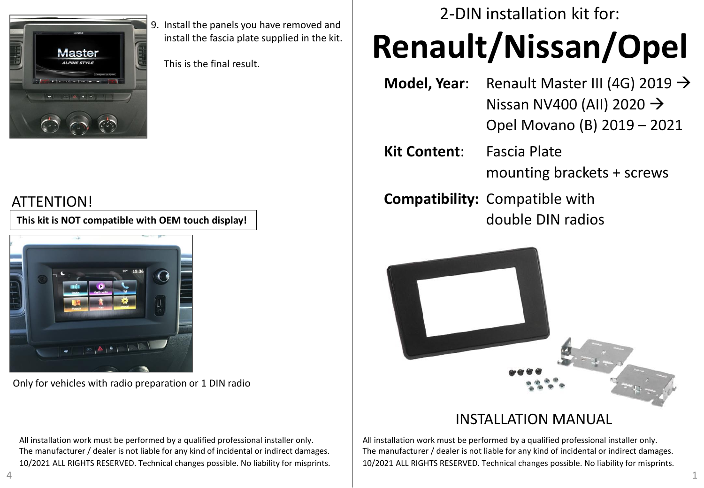

9. Install the panels you have removed and install the fascia plate supplied in the kit.

This is the final result.

## ATTENTION!

**This kit is NOT compatible with OEM touch display!**



Only for vehicles with radio preparation or 1 DIN radio

All installation work must be performed by a qualified professional installer only. The manufacturer / dealer is not liable for any kind of incidental or indirect damages. 10/2021 ALL RIGHTS RESERVED. Technical changes possible. No liability for misprints. 2-DIN installation kit for:

## **Renault/Nissan/Opel**

- **Model, Year**: Renault Master III (4G) 2019 → Nissan NV400 (AII) 2020  $\rightarrow$ Opel Movano (B) 2019 – 2021
- **Kit Content**: Fascia Plate mounting brackets + screws
- **Compatibility:** Compatible with double DIN radios



## INSTALLATION MANUAL

All installation work must be performed by a qualified professional installer only. The manufacturer / dealer is not liable for any kind of incidental or indirect damages. 10/2021 ALL RIGHTS RESERVED. Technical changes possible. No liability for misprints.